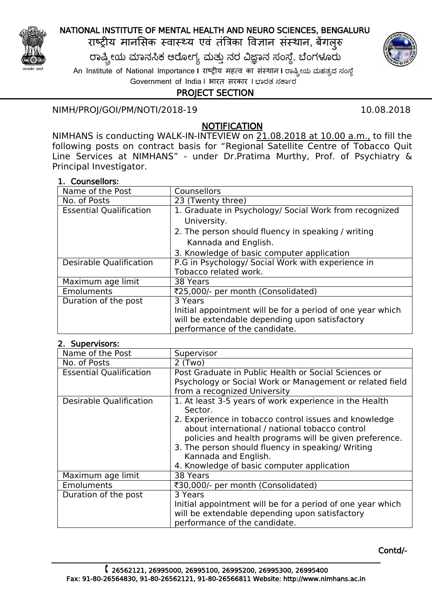

## NATIONAL INSTITUTE OF MENTAL HEALTH AND NEURO SCIENCES, BENGALURU

राष्ट्रीय मानसिक स्वास्थ्य एव तंत्रिका विज्ञान संस्थान, बेंगलुरु

ರಾಷ್ಟ್ರೀಯ ಮಾನಸಿಕ ಆರೋಗ್ಯ ಮತ್ತು ನರ ವಿಜ್ಞಾನ ಸಂಸ್ಥೆ, ಬೆಂಗಳೂರು An Institute of National Importance **I** राष्ट्रीय महत्व का िंस्थान **I** ರಾಷ್ಟ್ರೀಯ ಮಹತ್ವದ ಸಂಸ್ ೆ

Government of India I भारत सरकार I ಭಾರತ ಸರ್ಕಾರ

# PROJECT SECTION

## NIMH/PROJ/GOI/PM/NOTI/2018-19 10.08.2018

## **NOTIFICATION**

following posts on contract basis for "Regional Satellite Centre of Tobacco Quit Line Services at NIMHANS" - under Dr.Pratima Murthy, Prof. of Psychiatry & Principal Investigator. NIMHANS is conducting WALK-IN-INTEVIEW on 21.08.2018 at 10.00 a.m., to fill the

### 1. Counsellors:

| Name of the Post               | <b>Counsellors</b>                                         |
|--------------------------------|------------------------------------------------------------|
| No. of Posts                   | 23 (Twenty three)                                          |
| <b>Essential Qualification</b> | 1. Graduate in Psychology/ Social Work from recognized     |
|                                | University.                                                |
|                                | 2. The person should fluency in speaking / writing         |
|                                | Kannada and English.                                       |
|                                | 3. Knowledge of basic computer application                 |
| <b>Desirable Qualification</b> | P.G in Psychology/ Social Work with experience in          |
|                                | Tobacco related work.                                      |
| Maximum age limit              | 38 Years                                                   |
| Emoluments                     | ₹25,000/- per month (Consolidated)                         |
| Duration of the post           | 3 Years                                                    |
|                                | Initial appointment will be for a period of one year which |
|                                | will be extendable depending upon satisfactory             |
|                                | performance of the candidate.                              |

### 2. Supervisors:

| Name of the Post               | Supervisor                                                                                                                                                                                                             |
|--------------------------------|------------------------------------------------------------------------------------------------------------------------------------------------------------------------------------------------------------------------|
| No. of Posts                   | $2$ (Two)                                                                                                                                                                                                              |
| <b>Essential Qualification</b> | Post Graduate in Public Health or Social Sciences or                                                                                                                                                                   |
|                                | Psychology or Social Work or Management or related field                                                                                                                                                               |
|                                | from a recognized University                                                                                                                                                                                           |
| <b>Desirable Qualification</b> | 1. At least 3-5 years of work experience in the Health<br>Sector.                                                                                                                                                      |
|                                | 2. Experience in tobacco control issues and knowledge<br>about international / national tobacco control<br>policies and health programs will be given preference.<br>3. The person should fluency in speaking/ Writing |
|                                | Kannada and English.                                                                                                                                                                                                   |
|                                | 4. Knowledge of basic computer application                                                                                                                                                                             |
| Maximum age limit              | 38 Years                                                                                                                                                                                                               |
| <b>Emoluments</b>              | ₹30,000/- per month (Consolidated)                                                                                                                                                                                     |
| Duration of the post           | 3 Years                                                                                                                                                                                                                |
|                                | Initial appointment will be for a period of one year which<br>will be extendable depending upon satisfactory<br>performance of the candidate.                                                                          |

Contd/-

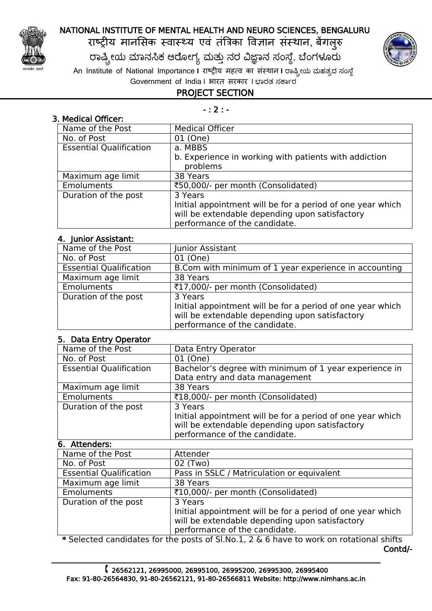

## NATIONAL INSTITUTE OF MENTAL HEALTH AND NEURO SCIENCES, BENGALURU

राष्ट्रीय मानसिक स्वास्थ्य एव तंत्रिका विज्ञान संस्थान, बेंगलुरु

ರಾಷ್ಟ್ರೀಯ ಮಾನಸಿಕ ಆರೋಗ್ಯ ಮತ್ತು ನರ ವಿಜ್ಞಾನ ಸಂಸ್ಥೆ, ಬೆಂಗಳೂರು

An Institute of National Importance **I** राष्ट्रीय महत्व का िंस्थान **I** ರಾಷ್ಟ್ರೀಯ ಮಹತ್ವದ ಸಂಸ್ ೆ Government of India I भारत सरकार I ಭಾರತ ಸರ್ಕಾರ



- : 2 : -

| 3. Medical Officer:            |                                                                                                                                               |
|--------------------------------|-----------------------------------------------------------------------------------------------------------------------------------------------|
| Name of the Post               | <b>Medical Officer</b>                                                                                                                        |
| No. of Post                    | 01 (One)                                                                                                                                      |
| <b>Essential Qualification</b> | a. MBBS                                                                                                                                       |
|                                | b. Experience in working with patients with addiction<br>problems                                                                             |
| Maximum age limit              | 38 Years                                                                                                                                      |
| <b>Emoluments</b>              | ₹50,000/- per month (Consolidated)                                                                                                            |
| Duration of the post           | 3 Years                                                                                                                                       |
|                                | Initial appointment will be for a period of one year which<br>will be extendable depending upon satisfactory<br>performance of the candidate. |

### 4. Junior Assistant:

| Name of the Post               | Junior Assistant                                           |
|--------------------------------|------------------------------------------------------------|
| No. of Post                    | 01 (One)                                                   |
| <b>Essential Qualification</b> | B.Com with minimum of 1 year experience in accounting      |
| Maximum age limit              | 38 Years                                                   |
| Emoluments                     | ₹17,000/- per month (Consolidated)                         |
| Duration of the post           | 3 Years                                                    |
|                                | Initial appointment will be for a period of one year which |
|                                | will be extendable depending upon satisfactory             |
|                                | performance of the candidate.                              |

### 5. Data Entry Operator

| Name of the Post               | Data Entry Operator                                                                                                                                      |
|--------------------------------|----------------------------------------------------------------------------------------------------------------------------------------------------------|
| No. of Post                    | 01 (One)                                                                                                                                                 |
| <b>Essential Qualification</b> | Bachelor's degree with minimum of 1 year experience in<br>Data entry and data management                                                                 |
| Maximum age limit              | 38 Years                                                                                                                                                 |
| <b>Emoluments</b>              | ₹18,000/- per month (Consolidated)                                                                                                                       |
| Duration of the post           | 3 Years<br>Initial appointment will be for a period of one year which<br>will be extendable depending upon satisfactory<br>performance of the candidate. |

### 6. Attenders:

| Name of the Post               | Attender                                                   |
|--------------------------------|------------------------------------------------------------|
| No. of Post                    | 02 (Two)                                                   |
| <b>Essential Qualification</b> | Pass in SSLC / Matriculation or equivalent                 |
| Maximum age limit              | 38 Years                                                   |
| Emoluments                     | ₹10,000/- per month (Consolidated)                         |
| Duration of the post           | 3 Years                                                    |
|                                | Initial appointment will be for a period of one year which |
|                                | will be extendable depending upon satisfactory             |
|                                | performance of the candidate.                              |
|                                |                                                            |

 \* Selected candidates for the posts of Sl.No.1, 2 & 6 have to work on rotational shifts Contd/-